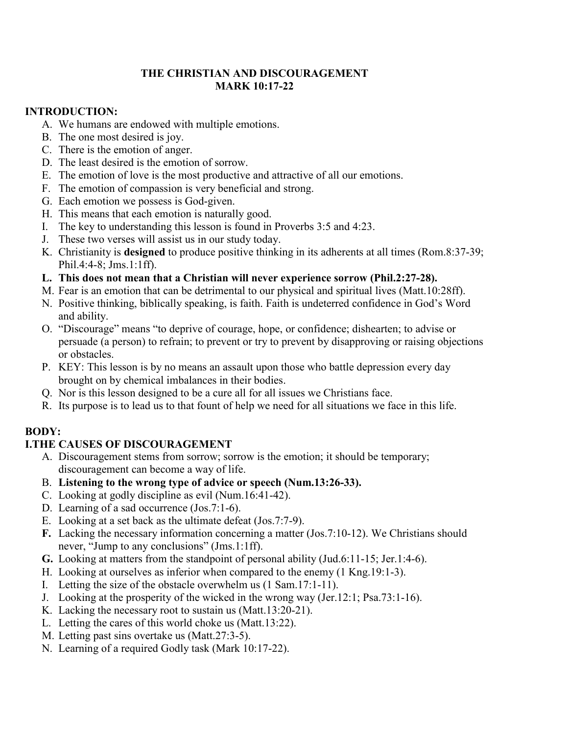#### **THE CHRISTIAN AND DISCOURAGEMENT MARK 10:17-22**

#### **INTRODUCTION:**

- A. We humans are endowed with multiple emotions.
- B. The one most desired is joy.
- C. There is the emotion of anger.
- D. The least desired is the emotion of sorrow.
- E. The emotion of love is the most productive and attractive of all our emotions.
- F. The emotion of compassion is very beneficial and strong.
- G. Each emotion we possess is God-given.
- H. This means that each emotion is naturally good.
- I. The key to understanding this lesson is found in Proverbs 3:5 and 4:23.
- J. These two verses will assist us in our study today.
- K. Christianity is **designed** to produce positive thinking in its adherents at all times (Rom.8:37-39; Phil.4:4-8; Jms.1:1ff).
- **L. This does not mean that a Christian will never experience sorrow (Phil.2:27-28).**
- M. Fear is an emotion that can be detrimental to our physical and spiritual lives (Matt.10:28ff).
- N. Positive thinking, biblically speaking, is faith. Faith is undeterred confidence in God's Word and ability.
- O. "Discourage" means "to deprive of courage, hope, or confidence; dishearten; to advise or persuade (a person) to refrain; to prevent or try to prevent by disapproving or raising objections or obstacles.
- P. KEY: This lesson is by no means an assault upon those who battle depression every day brought on by chemical imbalances in their bodies.
- Q. Nor is this lesson designed to be a cure all for all issues we Christians face.
- R. Its purpose is to lead us to that fount of help we need for all situations we face in this life.

# **BODY:**

### **I.THE CAUSES OF DISCOURAGEMENT**

- A. Discouragement stems from sorrow; sorrow is the emotion; it should be temporary; discouragement can become a way of life.
- B. **Listening to the wrong type of advice or speech (Num.13:26-33).**
- C. Looking at godly discipline as evil (Num.16:41-42).
- D. Learning of a sad occurrence (Jos.7:1-6).
- E. Looking at a set back as the ultimate defeat (Jos.7:7-9).
- **F.** Lacking the necessary information concerning a matter (Jos.7:10-12). We Christians should never, "Jump to any conclusions" (Jms.1:1ff).
- **G.** Looking at matters from the standpoint of personal ability (Jud.6:11-15; Jer.1:4-6).
- H. Looking at ourselves as inferior when compared to the enemy (1 Kng.19:1-3).
- I. Letting the size of the obstacle overwhelm us (1 Sam.17:1-11).
- J. Looking at the prosperity of the wicked in the wrong way (Jer.12:1; Psa.73:1-16).
- K. Lacking the necessary root to sustain us (Matt.13:20-21).
- L. Letting the cares of this world choke us (Matt.13:22).
- M. Letting past sins overtake us (Matt.27:3-5).
- N. Learning of a required Godly task (Mark 10:17-22).